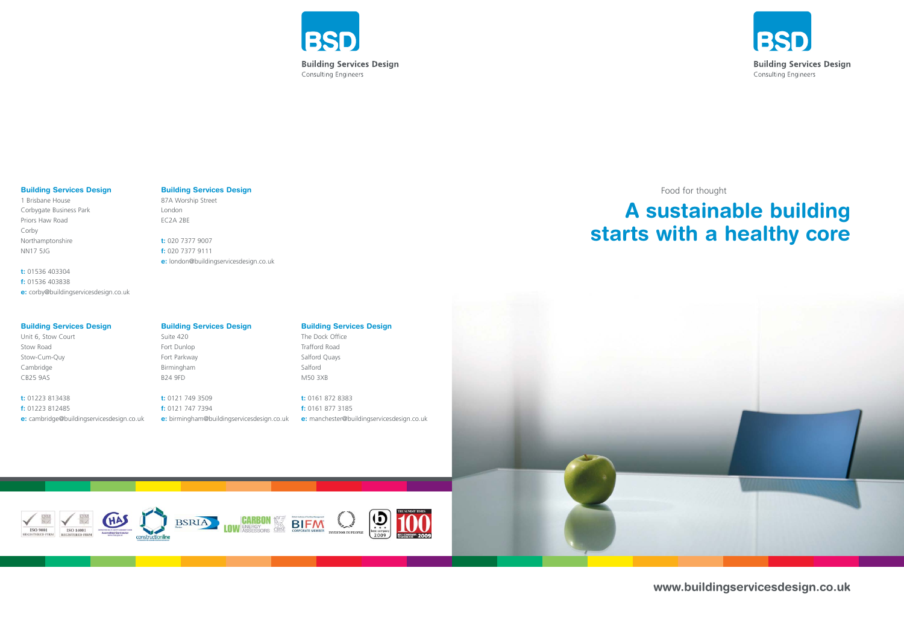

### **Building Services Design**

The Dock Office Trafford Road Salford Quays Salford M50 3XB

**t:** 0161 872 8383 **f:** 0161 877 3185 **e:** manchester@buildingservicesdesign.co.uk

 $\overline{\mathbf{D}}$ 

**INVESTOR IN PEOPLE** 







### **Building Services Design**

Unit 6, Stow Court Stow Road Stow-Cum-Quy Cambridge CB25 9AS

ISO 9001

**t:** 01223 813438 **f:** 01223 812485 **e:** cambridge@buildingservicesdesign.co.uk

#### **Building Services Design**

87A Worship Street London EC2A 2BE

**t:** 020 7377 9007 **f:** 020 7377 9111 **e:** london@buildingservicesdesign.co.uk

### **Building Services Design**

1 Brisbane House Corbygate Business Park Priors Haw Road Corby Northamptonshire NN17 5JG

**t:** 01536 403304 **f:** 01536 403838 **e:** corby@buildingservicesdesign.co.uk

### **Building Services Design**

### Suite 420

Fort Dunlop Fort Parkway Birmingham B24 9FD

**t:** 0121 749 3509 **f:** 0121 747 7394 **e:** birmingham@buildingservicesdesign.co.uk

CARBON

**BIFM** 



**www.buildingservicesdesign.co.uk**

# **A sustainable building starts with a healthy core**

Food for thought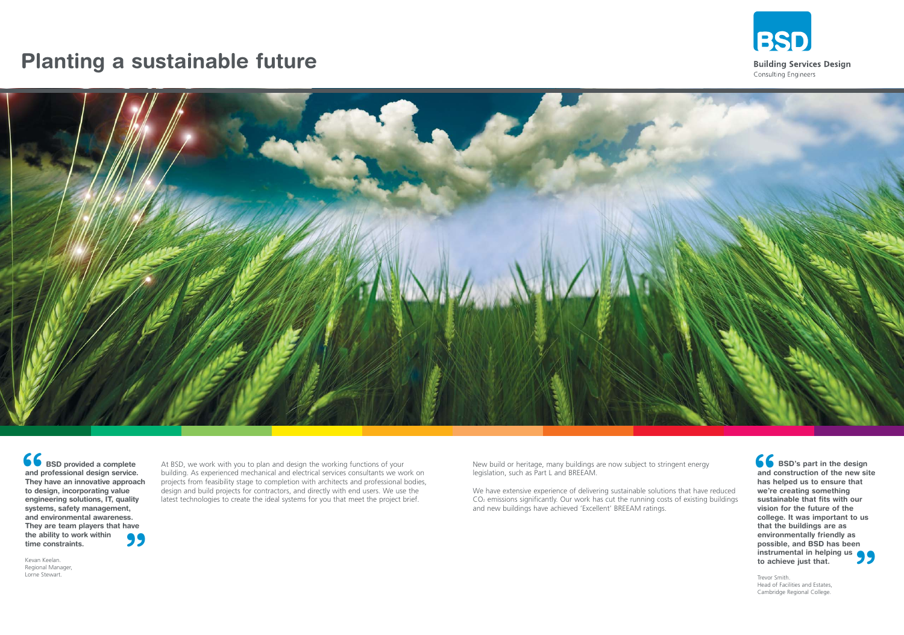## **Planting a sustainable future**



At BSD, we work with you to plan and design the working functions of your building. As experienced mechanical and electrical services consultants we work on projects from feasibility stage to completion with architects and professional bodies, design and build projects for contractors, and directly with end users. We use the latest technologies to create the ideal systems for you that meet the project brief.

New build or heritage, many buildings are now subject to stringent energy legislation, such as Part L and BREEAM.

**66**<br>and c<br>has h<br>we're **" BSD's part in the design and construction of the new site has helped us to ensure that we're creating something sustainable that fits with our vision for the future of the college. It was important to us that the buildings are as environmentally friendly as possible, and BSD has been instrumental in helping us to achieve just that.**

We have extensive experience of delivering sustainable solutions that have reduced CO2 emissions significantly. Our work has cut the running costs of existing buildings and new buildings have achieved 'Excellent' BREEAM ratings.

**66**<br>and p<br>They<br>to des **BSD provided a complete and professional design service. They have an innovative approach to design, incorporating value engineering solutions, IT, quality systems, safety management, and environmental awareness. They are team players that have the ability to work within time constraints.**

> Trevor Smith. Head of Facilities and Estates, Cambridge Regional College.



Kevan Keelan. Regional Manager, Lorne Stewart.



**Building Services Design** Consulting Engineers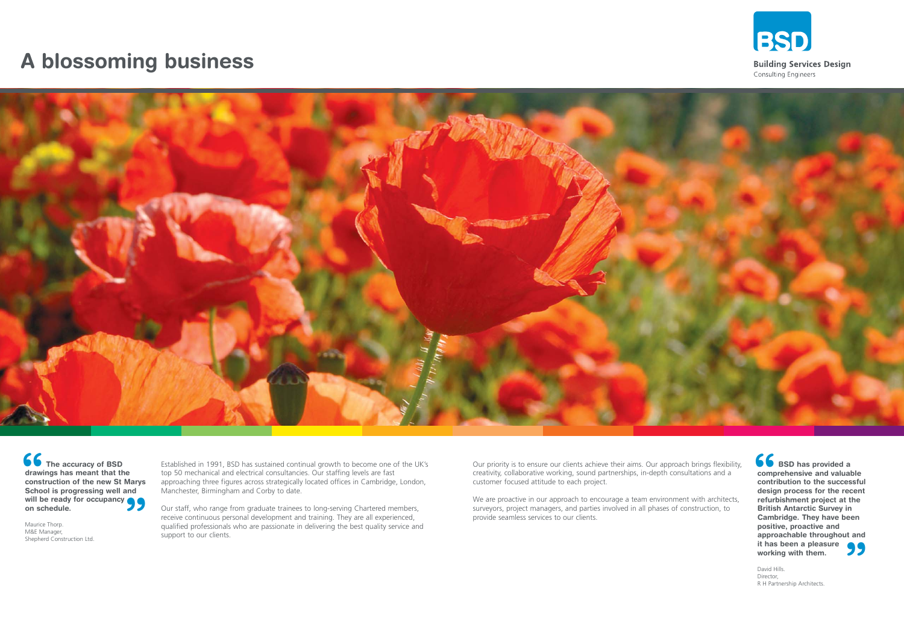Established in 1991, BSD has sustained continual growth to become one of the UK's top 50 mechanical and electrical consultancies. Our staffing levels are fast approaching three figures across strategically located offices in Cambridge, London, Manchester, Birmingham and Corby to date.

Our staff, who range from graduate trainees to long-serving Chartered members, receive continuous personal development and training. They are all experienced, qualified professionals who are passionate in delivering the best quality service and support to our clients.

We are proactive in our approach to encourage a team environment with architects, surveyors, project managers, and parties involved in all phases of construction, to provide seamless services to our clients.



**Building Services Design** Consulting Engineers

**66**<br>
comp<br>
contr<br>
desig **" BSD has provided a comprehensive and valuable contribution to the successful design process for the recent refurbishment project at the British Antarctic Survey in Cambridge. They have been positive, proactive and approachable throughout and it has been a pleasure working with them.**

Our priority is to ensure our clients achieve their aims. Our approach brings flexibility, creativity, collaborative working, sound partnerships, in-depth consultations and a customer focused attitude to each project.

**66**<br>drawi<br>const<br>Schoo **will be ready for occupancy <br>
<b>On schedule.**<br>
Maurice Thorp.<br>
M&E Manager,<br>
Shanbard Construction Ltd. **The accuracy of BSD drawings has meant that the construction of the new St Marys School is progressing well and on schedule.**

## **A blossoming business**



David Hills. Director, R H Partnership Architects.

Maurice Thorp. M&E Manager, Shepherd Construction Ltd.